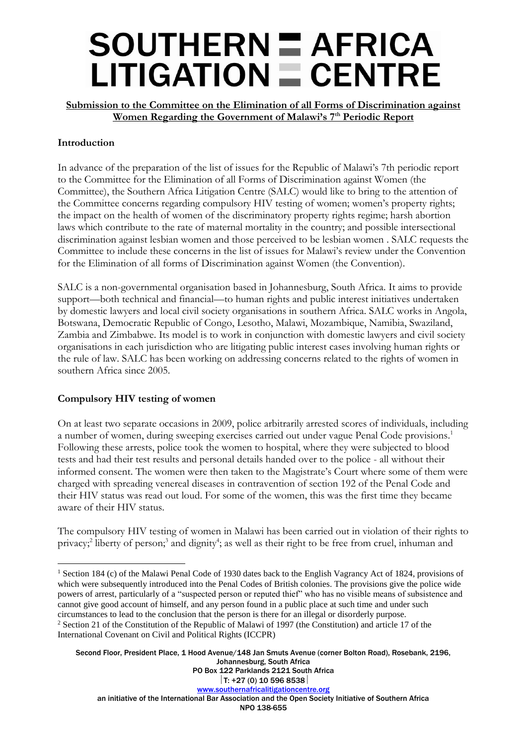### **SOUTHERN E AFRICA**  $LITIGATION  $\equiv$  CENTRE$

**Submission to the Committee on the Elimination of all Forms of Discrimination against Women Regarding the Government of Malawi's 7th Periodic Report**

### **Introduction**

In advance of the preparation of the list of issues for the Republic of Malawi's 7th periodic report to the Committee for the Elimination of all Forms of Discrimination against Women (the Committee), the Southern Africa Litigation Centre (SALC) would like to bring to the attention of the Committee concerns regarding compulsory HIV testing of women; women's property rights; the impact on the health of women of the discriminatory property rights regime; harsh abortion laws which contribute to the rate of maternal mortality in the country; and possible intersectional discrimination against lesbian women and those perceived to be lesbian women . SALC requests the Committee to include these concerns in the list of issues for Malawi's review under the Convention for the Elimination of all forms of Discrimination against Women (the Convention).

SALC is a non-governmental organisation based in Johannesburg, South Africa. It aims to provide support—both technical and financial—to human rights and public interest initiatives undertaken by domestic lawyers and local civil society organisations in southern Africa. SALC works in Angola, Botswana, Democratic Republic of Congo, Lesotho, Malawi, Mozambique, Namibia, Swaziland, Zambia and Zimbabwe. Its model is to work in conjunction with domestic lawyers and civil society organisations in each jurisdiction who are litigating public interest cases involving human rights or the rule of law. SALC has been working on addressing concerns related to the rights of women in southern Africa since 2005.

#### **Compulsory HIV testing of women**

 $\overline{a}$ 

On at least two separate occasions in 2009, police arbitrarily arrested scores of individuals, including a number of women, during sweeping exercises carried out under vague Penal Code provisions. 1 Following these arrests, police took the women to hospital, where they were subjected to blood tests and had their test results and personal details handed over to the police - all without their informed consent. The women were then taken to the Magistrate's Court where some of them were charged with spreading venereal diseases in contravention of section 192 of the Penal Code and their HIV status was read out loud. For some of the women, this was the first time they became aware of their HIV status.

The compulsory HIV testing of women in Malawi has been carried out in violation of their rights to privacy;<sup>2</sup> liberty of person;<sup>3</sup> and dignity<sup>4</sup>; as well as their right to be free from cruel, inhuman and

Second Floor, President Place, 1 Hood Avenue/148 Jan Smuts Avenue (corner Bolton Road), Rosebank, 2196, Johannesburg, South Africa PO Box 122 Parklands 2121 South Africa

<sup>1</sup> Section 184 (c) of the Malawi Penal Code of 1930 dates back to the English Vagrancy Act of 1824, provisions of which were subsequently introduced into the Penal Codes of British colonies. The provisions give the police wide powers of arrest, particularly of a "suspected person or reputed thief" who has no visible means of subsistence and cannot give good account of himself, and any person found in a public place at such time and under such circumstances to lead to the conclusion that the person is there for an illegal or disorderly purpose. <sup>2</sup> Section 21 of the Constitution of the Republic of Malawi of 1997 (the Constitution) and article 17 of the International Covenant on Civil and Political Rights (ICCPR)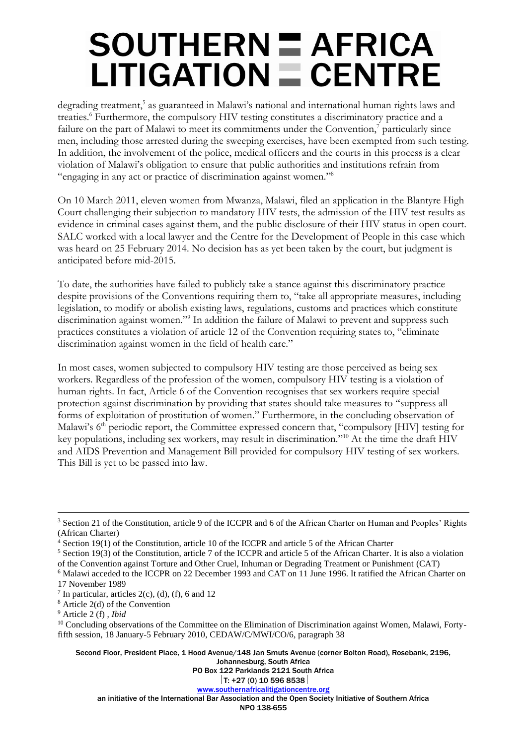# **SOUTHERN E AFRICA**  $LITIGATION = CENTRE$

degrading treatment,<sup>5</sup> as guaranteed in Malawi's national and international human rights laws and treaties. <sup>6</sup> Furthermore, the compulsory HIV testing constitutes a discriminatory practice and a failure on the part of Malawi to meet its commitments under the Convention, $^7$  particularly since men, including those arrested during the sweeping exercises, have been exempted from such testing. In addition, the involvement of the police, medical officers and the courts in this process is a clear violation of Malawi's obligation to ensure that public authorities and institutions refrain from "engaging in any act or practice of discrimination against women."<sup>8</sup>

On 10 March 2011, eleven women from Mwanza, Malawi, filed an application in the Blantyre High Court challenging their subjection to mandatory HIV tests, the admission of the HIV test results as evidence in criminal cases against them, and the public disclosure of their HIV status in open court. SALC worked with a local lawyer and the Centre for the Development of People in this case which was heard on 25 February 2014. No decision has as yet been taken by the court, but judgment is anticipated before mid-2015.

To date, the authorities have failed to publicly take a stance against this discriminatory practice despite provisions of the Conventions requiring them to, "take all appropriate measures, including legislation, to modify or abolish existing laws, regulations, customs and practices which constitute discrimination against women."<sup>9</sup> In addition the failure of Malawi to prevent and suppress such practices constitutes a violation of article 12 of the Convention requiring states to, "eliminate discrimination against women in the field of health care."

In most cases, women subjected to compulsory HIV testing are those perceived as being sex workers. Regardless of the profession of the women, compulsory HIV testing is a violation of human rights. In fact, Article 6 of the Convention recognises that sex workers require special protection against discrimination by providing that states should take measures to "suppress all forms of exploitation of prostitution of women." Furthermore, in the concluding observation of Malawi's 6<sup>th</sup> periodic report, the Committee expressed concern that, "compulsory [HIV] testing for key populations, including sex workers, may result in discrimination."<sup>10</sup> At the time the draft HIV and AIDS Prevention and Management Bill provided for compulsory HIV testing of sex workers. This Bill is yet to be passed into law.

 $\overline{a}$ 

Second Floor, President Place, 1 Hood Avenue/148 Jan Smuts Avenue (corner Bolton Road), Rosebank, 2196,

Johannesburg, South Africa

PO Box 122 Parklands 2121 South Africa

 $|T: +27(0)$  10 596 8538 [www.southernafricalitigationcentre.org](http://www.southernafricalitigationcentre.org/)

an initiative of the International Bar Association and the Open Society Initiative of Southern Africa

NPO 138-655

<sup>3</sup> Section 21 of the Constitution, article 9 of the ICCPR and 6 of the African Charter on Human and Peoples' Rights (African Charter)

<sup>4</sup> Section 19(1) of the Constitution, article 10 of the ICCPR and article 5 of the African Charter

 $5$  Section 19(3) of the Constitution, article 7 of the ICCPR and article 5 of the African Charter. It is also a violation of the Convention against Torture and Other Cruel, Inhuman or Degrading Treatment or Punishment (CAT)

<sup>6</sup> Malawi acceded to the ICCPR on 22 December 1993 and CAT on 11 June 1996. It ratified the African Charter on 17 November 1989

 $<sup>7</sup>$  In particular, articles 2(c), (d), (f), 6 and 12</sup>

<sup>8</sup> Article 2(d) of the Convention

<sup>9</sup> Article 2 (f) , *Ibid*

<sup>&</sup>lt;sup>10</sup> Concluding observations of the Committee on the Elimination of Discrimination against Women, Malawi, Fortyfifth session, 18 January-5 February 2010, CEDAW/C/MWI/CO/6, paragraph 38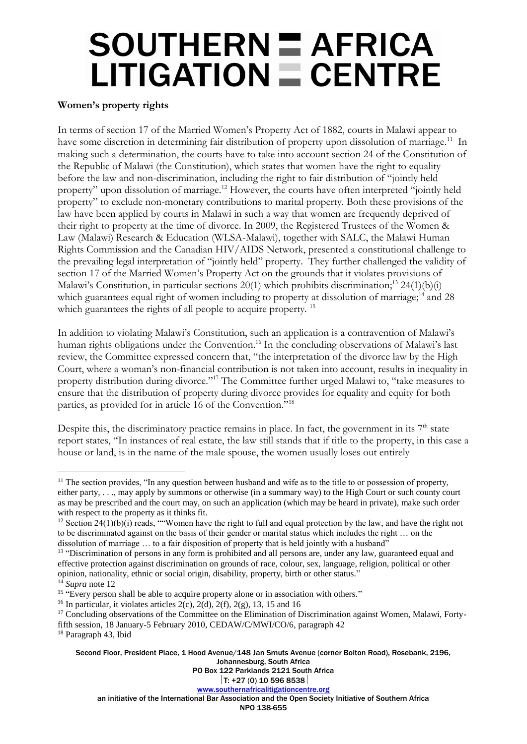## **SOUTHERN E AFRICA**  $LITIGATION = CENTRE$

#### **Women's property rights**

In terms of section 17 of the Married Women's Property Act of 1882, courts in Malawi appear to have some discretion in determining fair distribution of property upon dissolution of marriage.<sup>11</sup> In making such a determination, the courts have to take into account section 24 of the Constitution of the Republic of Malawi (the Constitution), which states that women have the right to equality before the law and non-discrimination, including the right to fair distribution of "jointly held property" upon dissolution of marriage.<sup>12</sup> However, the courts have often interpreted "jointly held property" to exclude non-monetary contributions to marital property. Both these provisions of the law have been applied by courts in Malawi in such a way that women are frequently deprived of their right to property at the time of divorce. In 2009, the Registered Trustees of the Women & Law (Malawi) Research & Education (WLSA-Malawi), together with SALC, the Malawi Human Rights Commission and the Canadian HIV/AIDS Network, presented a constitutional challenge to the prevailing legal interpretation of "jointly held" property. They further challenged the validity of section 17 of the Married Women's Property Act on the grounds that it violates provisions of Malawi's Constitution, in particular sections  $20(1)$  which prohibits discrimination;<sup>13</sup> 24(1)(b)(i) which guarantees equal right of women including to property at dissolution of marriage;<sup>14</sup> and 28 which guarantees the rights of all people to acquire property.<sup>15</sup>

In addition to violating Malawi's Constitution, such an application is a contravention of Malawi's human rights obligations under the Convention.<sup>16</sup> In the concluding observations of Malawi's last review, the Committee expressed concern that, "the interpretation of the divorce law by the High Court, where a woman's non-financial contribution is not taken into account, results in inequality in property distribution during divorce."<sup>17</sup> The Committee further urged Malawi to, "take measures to ensure that the distribution of property during divorce provides for equality and equity for both parties, as provided for in article 16 of the Convention."<sup>18</sup>

Despite this, the discriminatory practice remains in place. In fact, the government in its  $7<sup>th</sup>$  state report states, "In instances of real estate, the law still stands that if title to the property, in this case a house or land, is in the name of the male spouse, the women usually loses out entirely

Second Floor, President Place, 1 Hood Avenue/148 Jan Smuts Avenue (corner Bolton Road), Rosebank, 2196, Johannesburg, South Africa

 $\overline{a}$  $11$  The section provides, "In any question between husband and wife as to the title to or possession of property, either party, . . ., may apply by summons or otherwise (in a summary way) to the High Court or such county court as may be prescribed and the court may, on such an application (which may be heard in private), make such order with respect to the property as it thinks fit.

<sup>&</sup>lt;sup>12</sup> Section 24(1)(b)(i) reads, ""Women have the right to full and equal protection by the law, and have the right not to be discriminated against on the basis of their gender or marital status which includes the right … on the dissolution of marriage … to a fair disposition of property that is held jointly with a husband"

<sup>&</sup>lt;sup>13</sup> "Discrimination of persons in any form is prohibited and all persons are, under any law, guaranteed equal and effective protection against discrimination on grounds of race, colour, sex, language, religion, political or other opinion, nationality, ethnic or social origin, disability, property, birth or other status."

<sup>14</sup> *Supra* note 12

<sup>&</sup>lt;sup>15</sup> "Every person shall be able to acquire property alone or in association with others."

<sup>&</sup>lt;sup>16</sup> In particular, it violates articles  $2(c)$ ,  $2(d)$ ,  $2(f)$ ,  $2(g)$ , 13, 15 and 16

<sup>&</sup>lt;sup>17</sup> Concluding observations of the Committee on the Elimination of Discrimination against Women, Malawi, Fortyfifth session, 18 January-5 February 2010, CEDAW/C/MWI/CO/6, paragraph 42

<sup>18</sup> Paragraph 43, Ibid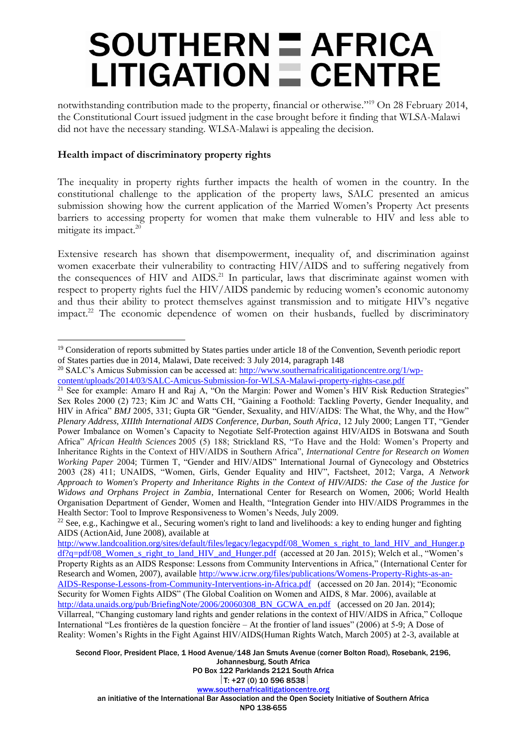### $SOUTHERN  $\equiv$  AFRICA$  $LITIGATION \equiv CENTRE$

notwithstanding contribution made to the property, financial or otherwise."<sup>19</sup> On 28 February 2014, the Constitutional Court issued judgment in the case brought before it finding that WLSA-Malawi did not have the necessary standing. WLSA-Malawi is appealing the decision.

### **Health impact of discriminatory property rights**

 $\overline{a}$ 

The inequality in property rights further impacts the health of women in the country. In the constitutional challenge to the application of the property laws, SALC presented an amicus submission showing how the current application of the Married Women's Property Act presents barriers to accessing property for women that make them vulnerable to HIV and less able to mitigate its impact.<sup>20</sup>

Extensive research has shown that disempowerment, inequality of, and discrimination against women exacerbate their vulnerability to contracting HIV/AIDS and to suffering negatively from the consequences of HIV and AIDS.<sup>21</sup> In particular, laws that discriminate against women with respect to property rights fuel the HIV/AIDS pandemic by reducing women's economic autonomy and thus their ability to protect themselves against transmission and to mitigate HIV's negative impact.<sup>22</sup> The economic dependence of women on their husbands, fuelled by discriminatory

Second Floor, President Place, 1 Hood Avenue/148 Jan Smuts Avenue (corner Bolton Road), Rosebank, 2196, Johannesburg, South Africa

PO Box 122 Parklands 2121 South Africa

<sup>&</sup>lt;sup>19</sup> Consideration of reports submitted by States parties under article 18 of the Convention, Seventh periodic report of States parties due in 2014, Malawi, Date received: 3 July 2014, paragraph 148

<sup>&</sup>lt;sup>20</sup> SALC's Amicus Submission can be accessed at:  $\frac{http://www.southernafricalitigationcenter.org/1/wp-$ 

[content/uploads/2014/03/SALC-Amicus-Submission-for-WLSA-Malawi-property-rights-case.pdf](http://www.southernafricalitigationcentre.org/1/wp-content/uploads/2014/03/SALC-Amicus-Submission-for-WLSA-Malawi-property-rights-case.pdf)

<sup>&</sup>lt;sup>21</sup> See for example: Amaro H and Raj A, "On the Margin: Power and Women's HIV Risk Reduction Strategies" Sex Roles 2000 (2) 723; Kim JC and Watts CH, "Gaining a Foothold: Tackling Poverty, Gender Inequality, and HIV in Africa" *BMJ* 2005, 331; Gupta GR "Gender, Sexuality, and HIV/AIDS: The What, the Why, and the How" *Plenary Address, XIIIth International AIDS Conference, Durban, South Africa*, 12 July 2000; Langen TT, "Gender Power Imbalance on Women's Capacity to Negotiate Self-Protection against HIV/AIDS in Botswana and South Africa" *African Health Sciences* 2005 (5) 188; Strickland RS, "To Have and the Hold: Women's Property and Inheritance Rights in the Context of HIV/AIDS in Southern Africa", *International Centre for Research on Women Working Paper* 2004; Türmen T, "Gender and HIV/AIDS" International Journal of Gynecology and Obstetrics 2003 (28) 411; UNAIDS, "Women, Girls, Gender Equality and HIV", Factsheet, 2012; Varga, *A Network Approach to Women's Property and Inheritance Rights in the Context of HIV/AIDS: the Case of the Justice for Widows and Orphans Project in Zambia*, International Center for Research on Women, 2006; World Health Organisation Department of Gender, Women and Health, "Integration Gender into HIV/AIDS Programmes in the Health Sector: Tool to Improve Responsiveness to Women's Needs, July 2009.

<sup>&</sup>lt;sup>22</sup> See, e.g., Kachingwe et al., Securing women's right to land and livelihoods: a key to ending hunger and fighting AIDS (ActionAid, June 2008), available at

[http://www.landcoalition.org/sites/default/files/legacy/legacypdf/08\\_Women\\_s\\_right\\_to\\_land\\_HIV\\_and\\_Hunger.p](http://www.landcoalition.org/sites/default/files/legacy/legacypdf/08_Women_s_right_to_land_HIV_and_Hunger.pdf?q=pdf/08_Women_s_right_to_land_HIV_and_Hunger.pdf) [df?q=pdf/08\\_Women\\_s\\_right\\_to\\_land\\_HIV\\_and\\_Hunger.pdf](http://www.landcoalition.org/sites/default/files/legacy/legacypdf/08_Women_s_right_to_land_HIV_and_Hunger.pdf?q=pdf/08_Women_s_right_to_land_HIV_and_Hunger.pdf) (accessed at 20 Jan. 2015); Welch et al., "Women's Property Rights as an AIDS Response: Lessons from Community Interventions in Africa," (International Center for Research and Women, 2007), available [http://www.icrw.org/files/publications/Womens-Property-Rights-as-an-](http://www.icrw.org/files/publications/Womens-Property-Rights-as-an-AIDS-Response-Lessons-from-Community-Interventions-in-Africa.pdf)[AIDS-Response-Lessons-from-Community-Interventions-in-Africa.pdf](http://www.icrw.org/files/publications/Womens-Property-Rights-as-an-AIDS-Response-Lessons-from-Community-Interventions-in-Africa.pdf) (accessed on 20 Jan. 2014); "Economic Security for Women Fights AIDS" (The Global Coalition on Women and AIDS, 8 Mar. 2006), available at [http://data.unaids.org/pub/BriefingNote/2006/20060308\\_BN\\_GCWA\\_en.pdf](http://data.unaids.org/pub/BriefingNote/2006/20060308_BN_GCWA_en.pdf) (accessed on 20 Jan. 2014); Villarreal, "Changing customary land rights and gender relations in the context of HIV/AIDS in Africa," Colloque International "Les frontières de la question foncière – At the frontier of land issues" (2006) at 5-9; A Dose of Reality: Women's Rights in the Fight Against HIV/AIDS(Human Rights Watch, March 2005) at 2-3, available at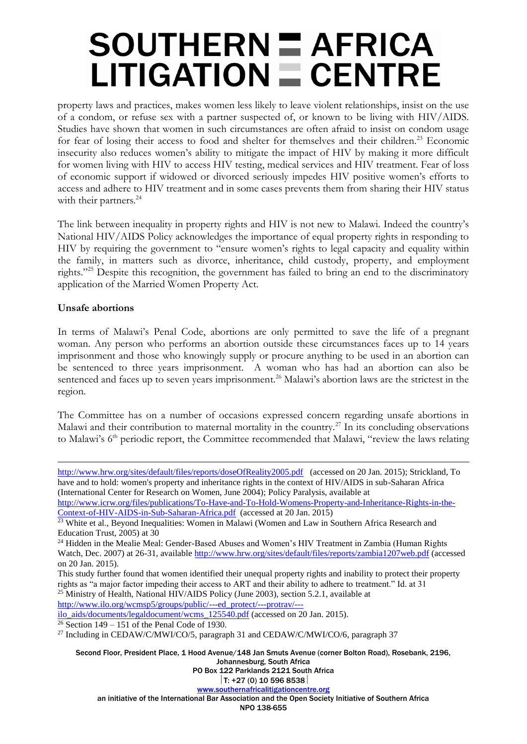# **SOUTHERN E AFRICA**  $LITIGATION = CENTRE$

property laws and practices, makes women less likely to leave violent relationships, insist on the use of a condom, or refuse sex with a partner suspected of, or known to be living with HIV/AIDS. Studies have shown that women in such circumstances are often afraid to insist on condom usage for fear of losing their access to food and shelter for themselves and their children.<sup>23</sup> Economic insecurity also reduces women's ability to mitigate the impact of HIV by making it more difficult for women living with HIV to access HIV testing, medical services and HIV treatment. Fear of loss of economic support if widowed or divorced seriously impedes HIV positive women's efforts to access and adhere to HIV treatment and in some cases prevents them from sharing their HIV status with their partners.<sup>24</sup>

The link between inequality in property rights and HIV is not new to Malawi. Indeed the country's National HIV/AIDS Policy acknowledges the importance of equal property rights in responding to HIV by requiring the government to "ensure women's rights to legal capacity and equality within the family, in matters such as divorce, inheritance, child custody, property, and employment rights."<sup>25</sup> Despite this recognition, the government has failed to bring an end to the discriminatory application of the Married Women Property Act.

#### **Unsafe abortions**

 $\overline{a}$ 

In terms of Malawi's Penal Code, abortions are only permitted to save the life of a pregnant woman. Any person who performs an abortion outside these circumstances faces up to 14 years imprisonment and those who knowingly supply or procure anything to be used in an abortion can be sentenced to three years imprisonment. A woman who has had an abortion can also be sentenced and faces up to seven years imprisonment.<sup>26</sup> Malawi's abortion laws are the strictest in the region.

The Committee has on a number of occasions expressed concern regarding unsafe abortions in Malawi and their contribution to maternal mortality in the country.<sup>27</sup> In its concluding observations to Malawi's 6<sup>th</sup> periodic report, the Committee recommended that Malawi, "review the laws relating

Johannesburg, South Africa PO Box 122 Parklands 2121 South Africa  $|T: +27(0)$  10 596 8538 [www.southernafricalitigationcentre.org](http://www.southernafricalitigationcentre.org/) an initiative of the International Bar Association and the Open Society Initiative of Southern Africa NPO 138-655

Second Floor, President Place, 1 Hood Avenue/148 Jan Smuts Avenue (corner Bolton Road), Rosebank, 2196, <http://www.hrw.org/sites/default/files/reports/doseOfReality2005.pdf>(accessed on 20 Jan. 2015); Strickland, To have and to hold: women's property and inheritance rights in the context of HIV/AIDS in sub-Saharan Africa (International Center for Research on Women, June 2004); Policy Paralysis, available at [http://www.icrw.org/files/publications/To-Have-and-To-Hold-Womens-Property-and-Inheritance-Rights-in-the-](http://www.icrw.org/files/publications/To-Have-and-To-Hold-Womens-Property-and-Inheritance-Rights-in-the-Context-of-HIV-AIDS-in-Sub-Saharan-Africa.pdf)[Context-of-HIV-AIDS-in-Sub-Saharan-Africa.pdf](http://www.icrw.org/files/publications/To-Have-and-To-Hold-Womens-Property-and-Inheritance-Rights-in-the-Context-of-HIV-AIDS-in-Sub-Saharan-Africa.pdf) (accessed at 20 Jan. 2015) <sup>23</sup> White et al., Beyond Inequalities: Women in Malawi (Women and Law in Southern Africa Research and Education Trust, 2005) at 30 <sup>24</sup> Hidden in the Mealie Meal: Gender-Based Abuses and Women's HIV Treatment in Zambia (Human Rights) Watch, Dec. 2007) at 26-31, available<http://www.hrw.org/sites/default/files/reports/zambia1207web.pdf> (accessed on 20 Jan. 2015). This study further found that women identified their unequal property rights and inability to protect their property rights as "a major factor impeding their access to ART and their ability to adhere to treatment." Id. at 31  $^{25}$  Ministry of Health, National HIV/AIDS Policy (June 2003), section 5.2.1, available at [http://www.ilo.org/wcmsp5/groups/public/---ed\\_protect/---protrav/--](http://www.ilo.org/wcmsp5/groups/public/---ed_protect/---protrav/---ilo_aids/documents/legaldocument/wcms_125540.pdf) [ilo\\_aids/documents/legaldocument/wcms\\_125540.pdf](http://www.ilo.org/wcmsp5/groups/public/---ed_protect/---protrav/---ilo_aids/documents/legaldocument/wcms_125540.pdf) (accessed on 20 Jan. 2015).  $\frac{26}{6}$  Section 149 – 151 of the Penal Code of 1930. <sup>27</sup> Including in CEDAW/C/MWI/CO/5, paragraph 31 and CEDAW/C/MWI/CO/6, paragraph 37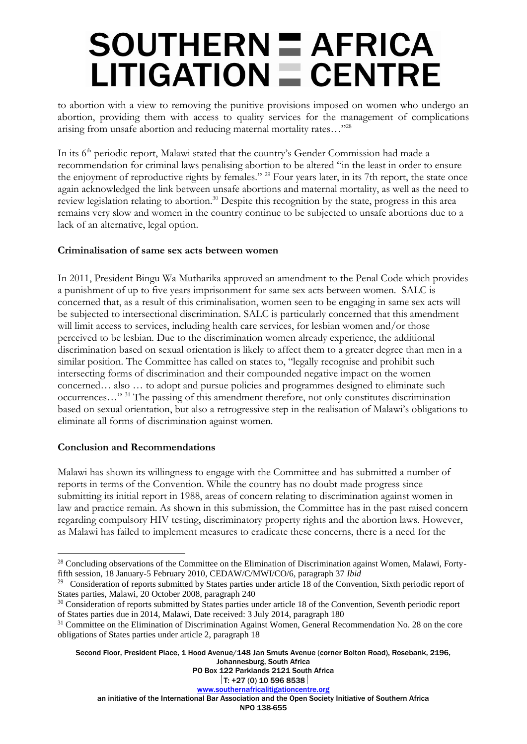# $SOUTHERN  $\equiv$  AFRICA$  $LITIGATION \equiv CENTRE$

to abortion with a view to removing the punitive provisions imposed on women who undergo an abortion, providing them with access to quality services for the management of complications arising from unsafe abortion and reducing maternal mortality rates…"<sup>28</sup>

In its 6<sup>th</sup> periodic report, Malawi stated that the country's Gender Commission had made a recommendation for criminal laws penalising abortion to be altered "in the least in order to ensure the enjoyment of reproductive rights by females." <sup>29</sup> Four years later, in its 7th report, the state once again acknowledged the link between unsafe abortions and maternal mortality, as well as the need to review legislation relating to abortion.<sup>30</sup> Despite this recognition by the state, progress in this area remains very slow and women in the country continue to be subjected to unsafe abortions due to a lack of an alternative, legal option.

### **Criminalisation of same sex acts between women**

In 2011, President Bingu Wa Mutharika approved an amendment to the Penal Code which provides a punishment of up to five years imprisonment for same sex acts between women. SALC is concerned that, as a result of this criminalisation, women seen to be engaging in same sex acts will be subjected to intersectional discrimination. SALC is particularly concerned that this amendment will limit access to services, including health care services, for lesbian women and/or those perceived to be lesbian. Due to the discrimination women already experience, the additional discrimination based on sexual orientation is likely to affect them to a greater degree than men in a similar position. The Committee has called on states to, "legally recognise and prohibit such intersecting forms of discrimination and their compounded negative impact on the women concerned… also … to adopt and pursue policies and programmes designed to eliminate such occurrences…" <sup>31</sup> The passing of this amendment therefore, not only constitutes discrimination based on sexual orientation, but also a retrogressive step in the realisation of Malawi's obligations to eliminate all forms of discrimination against women.

#### **Conclusion and Recommendations**

 $\overline{a}$ 

Malawi has shown its willingness to engage with the Committee and has submitted a number of reports in terms of the Convention. While the country has no doubt made progress since submitting its initial report in 1988, areas of concern relating to discrimination against women in law and practice remain. As shown in this submission, the Committee has in the past raised concern regarding compulsory HIV testing, discriminatory property rights and the abortion laws. However, as Malawi has failed to implement measures to eradicate these concerns, there is a need for the

Second Floor, President Place, 1 Hood Avenue/148 Jan Smuts Avenue (corner Bolton Road), Rosebank, 2196, Johannesburg, South Africa

<sup>&</sup>lt;sup>28</sup> Concluding observations of the Committee on the Elimination of Discrimination against Women, Malawi, Fortyfifth session, 18 January-5 February 2010, CEDAW/C/MWI/CO/6, paragraph 37 *Ibid*

<sup>&</sup>lt;sup>29</sup> Consideration of reports submitted by States parties under article 18 of the Convention, Sixth periodic report of States parties, Malawi, 20 October 2008, paragraph 240

<sup>&</sup>lt;sup>30</sup> Consideration of reports submitted by States parties under article 18 of the Convention, Seventh periodic report of States parties due in 2014, Malawi, Date received: 3 July 2014, paragraph 180

<sup>&</sup>lt;sup>31</sup> Committee on the Elimination of Discrimination Against Women, General Recommendation No. 28 on the core obligations of States parties under article 2, paragraph 18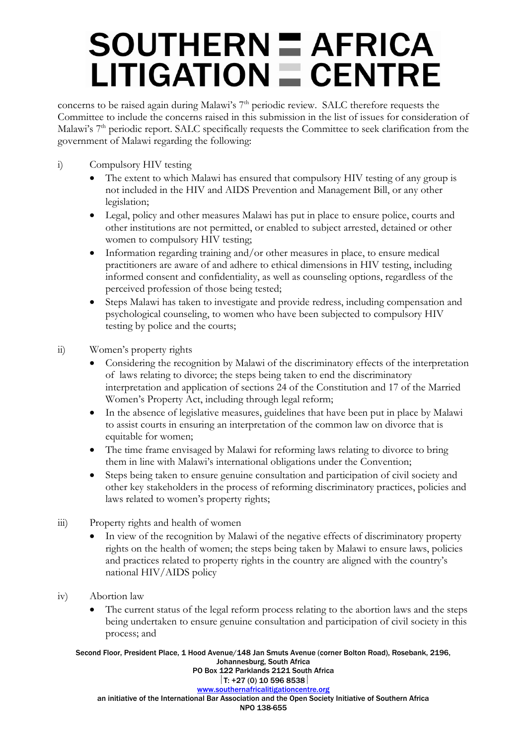# **SOUTHERN = AFRICA**  $LITIGATION = CENTRE$

concerns to be raised again during Malawi's 7<sup>th</sup> periodic review. SALC therefore requests the Committee to include the concerns raised in this submission in the list of issues for consideration of Malawi's 7<sup>th</sup> periodic report. SALC specifically requests the Committee to seek clarification from the government of Malawi regarding the following:

- i) Compulsory HIV testing
	- The extent to which Malawi has ensured that compulsory HIV testing of any group is not included in the HIV and AIDS Prevention and Management Bill, or any other legislation;
	- Legal, policy and other measures Malawi has put in place to ensure police, courts and other institutions are not permitted, or enabled to subject arrested, detained or other women to compulsory HIV testing;
	- Information regarding training and/or other measures in place, to ensure medical practitioners are aware of and adhere to ethical dimensions in HIV testing, including informed consent and confidentiality, as well as counseling options, regardless of the perceived profession of those being tested;
	- Steps Malawi has taken to investigate and provide redress, including compensation and psychological counseling, to women who have been subjected to compulsory HIV testing by police and the courts;
- ii) Women's property rights
	- Considering the recognition by Malawi of the discriminatory effects of the interpretation of laws relating to divorce; the steps being taken to end the discriminatory interpretation and application of sections 24 of the Constitution and 17 of the Married Women's Property Act, including through legal reform;
	- In the absence of legislative measures, guidelines that have been put in place by Malawi to assist courts in ensuring an interpretation of the common law on divorce that is equitable for women;
	- The time frame envisaged by Malawi for reforming laws relating to divorce to bring them in line with Malawi's international obligations under the Convention;
	- Steps being taken to ensure genuine consultation and participation of civil society and other key stakeholders in the process of reforming discriminatory practices, policies and laws related to women's property rights;
- iii) Property rights and health of women
	- In view of the recognition by Malawi of the negative effects of discriminatory property rights on the health of women; the steps being taken by Malawi to ensure laws, policies and practices related to property rights in the country are aligned with the country's national HIV/AIDS policy
- iv) Abortion law
	- The current status of the legal reform process relating to the abortion laws and the steps being undertaken to ensure genuine consultation and participation of civil society in this process; and

Second Floor, President Place, 1 Hood Avenue/148 Jan Smuts Avenue (corner Bolton Road), Rosebank, 2196, Johannesburg, South Africa PO Box 122 Parklands 2121 South Africa  $|T: +27(0)$  10 596 8538

[www.southernafricalitigationcentre.org](http://www.southernafricalitigationcentre.org/) an initiative of the International Bar Association and the Open Society Initiative of Southern Africa NPO 138-655